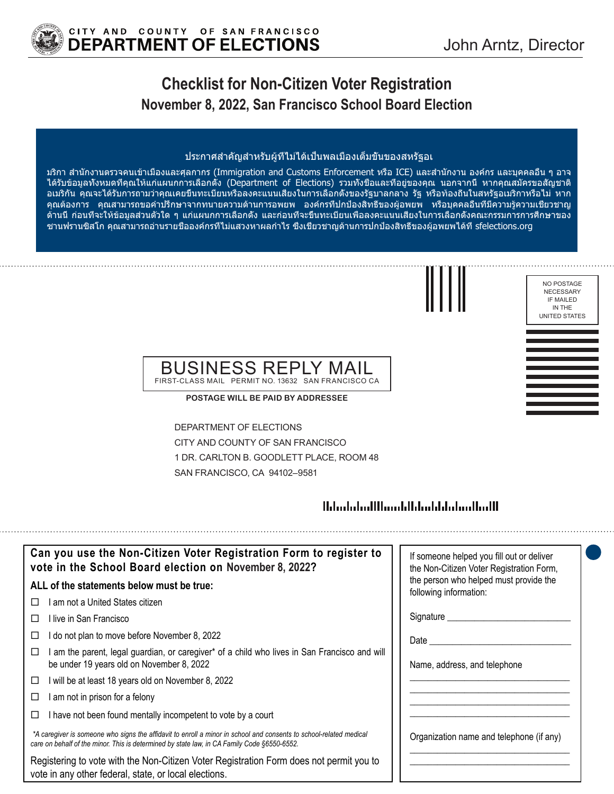

# **Checklist for Non-Citizen Voter Registration November 8, 2022, San Francisco School Board Election**

#### ประกาศสำ คัญสำ หรับผู้ที่ไม่ได้เป็นพลเมืองเต็มขั้นของสหรัฐอเ

มริกา สำ นักงานตรวจคนเข้าเมืองและศุลกากร (Immigration and Customs Enforcement หรือ ICE) และสำ นักงาน องค์กร และบุคคลอื่น ๆ อาจ ได้รับข้อมูลทั้งหมดที่คุณให้แก่แผนกการเลือกตั้ง (Department of Elections) รวมทั้งชื่อและที่อยู่ของคุณ นอกจากนี้ หากคุณสมัครขอสัญชาติ อเมริกัน คุณจะได้รับการถามว่าคุณเคยขึ้นทะเบียนหรือลงคะแนนเสียงในการเลือกตั้งของรัฐบาลกลาง รัฐ หรือท้องถิ่นในสหรัฐอเมริกาหรือไม่ หาก คุณต้องการ คุณสามารถขอคำปรึกษาจากทนายความด้านการอพยพ องค์กรที่ปกป้องสิทธิ์ของผู้อพยพ หรือบุคคลอื่นที่มีความรู้ความเชี่ยวชาญ ด้านนี้ ก่อนที่จะให้ข้อมูลส่วนตัวใด ๆ แก่แผนกการเลือกตั้ง และก่อนที่จะขึ้นทะเบียนเพื่อลงคะแนนเสียงในการเลือกตั้งคณะกรรมการการศึกษาของ ซานฟรานซิสโก คุณสามารถอ่านรายชื่อองค์กรที่ไม่แสวงหาผลกำ ไร ซึ่งเชี่ยวชาญด้านการปกป้องสิทธิ์ของผู้อพยพได้ที่ sfelections.org



NO POSTAGE NECESSARY IF MAILED IN THE UNITED STATES

## BUSINESS REPLY MAIL FIRST-CLASS MAIL PERMIT NO. 13632 SAN FRANCISCO CA

**POSTAGE WILL BE PAID BY ADDRESSEE**

DEPARTMENT OF ELECTIONS CITY AND COUNTY OF SAN FRANCISCO 1 DR. CARLTON B. GOODLETT PLACE, ROOM 48 SAN FRANCISCO, CA 94102–9581

## Habitatud Hhandillah adalah adalah H

| Can you use the Non-Citizen Voter Registration Form to register to<br>vote in the School Board election on November 8, 2022?                                                                                      | If someone helped you fill out or deliver<br>the Non-Citizen Voter Registration Form, |
|-------------------------------------------------------------------------------------------------------------------------------------------------------------------------------------------------------------------|---------------------------------------------------------------------------------------|
| ALL of the statements below must be true:                                                                                                                                                                         | the person who helped must provide the<br>following information:                      |
| ∣ am not a United States citizen.<br>П                                                                                                                                                                            |                                                                                       |
| ⊟live in San Francisco                                                                                                                                                                                            | Signature __________                                                                  |
| I do not plan to move before November 8, 2022                                                                                                                                                                     | Date                                                                                  |
| am the parent, legal guardian, or caregiver* of a child who lives in San Francisco and will<br>be under 19 years old on November 8, 2022                                                                          | Name, address, and telephone                                                          |
| will be at least 18 years old on November 8, 2022<br>□                                                                                                                                                            |                                                                                       |
| am not in prison for a felony                                                                                                                                                                                     |                                                                                       |
| I have not been found mentally incompetent to vote by a court                                                                                                                                                     |                                                                                       |
| *A caregiver is someone who signs the affidavit to enroll a minor in school and consents to school-related medical<br>care on behalf of the minor. This is determined by state law, in CA Family Code §6550-6552. | Organization name and telephone (if any)                                              |
| Registering to vote with the Non-Citizen Voter Registration Form does not permit you to<br>vote in any other federal, state, or local elections.                                                                  |                                                                                       |